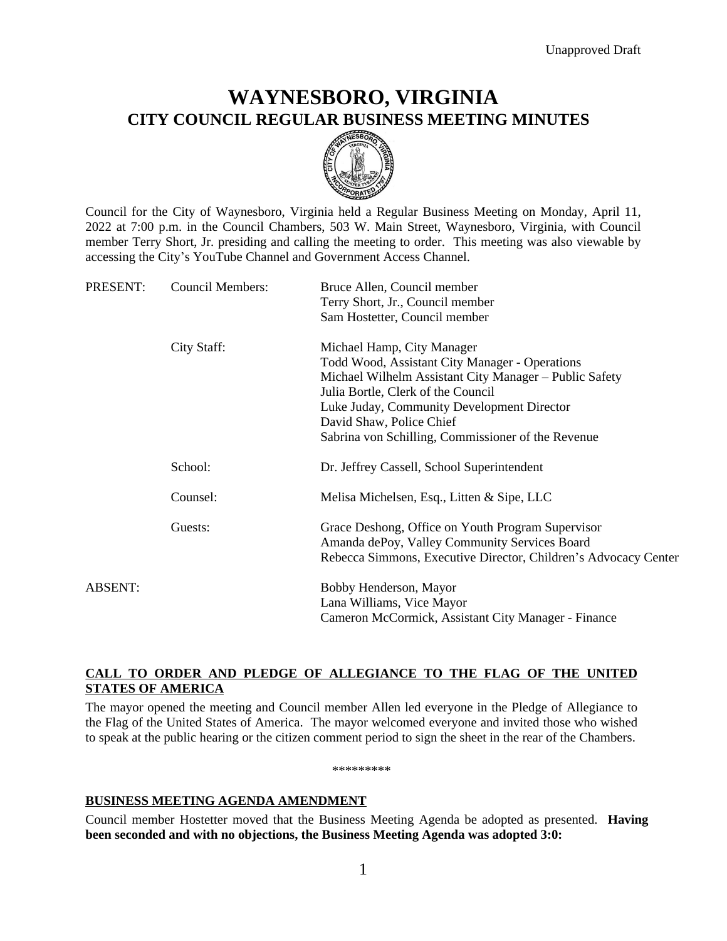# **WAYNESBORO, VIRGINIA CITY COUNCIL REGULAR BUSINESS MEETING MINUTES**



Council for the City of Waynesboro, Virginia held a Regular Business Meeting on Monday, April 11, 2022 at 7:00 p.m. in the Council Chambers, 503 W. Main Street, Waynesboro, Virginia, with Council member Terry Short, Jr. presiding and calling the meeting to order. This meeting was also viewable by accessing the City's YouTube Channel and Government Access Channel.

| PRESENT: | <b>Council Members:</b> | Bruce Allen, Council member<br>Terry Short, Jr., Council member                                    |
|----------|-------------------------|----------------------------------------------------------------------------------------------------|
|          |                         | Sam Hostetter, Council member                                                                      |
|          | City Staff:             | Michael Hamp, City Manager                                                                         |
|          |                         | Todd Wood, Assistant City Manager - Operations                                                     |
|          |                         | Michael Wilhelm Assistant City Manager – Public Safety                                             |
|          |                         | Julia Bortle, Clerk of the Council                                                                 |
|          |                         | Luke Juday, Community Development Director                                                         |
|          |                         | David Shaw, Police Chief                                                                           |
|          |                         | Sabrina von Schilling, Commissioner of the Revenue                                                 |
|          | School:                 | Dr. Jeffrey Cassell, School Superintendent                                                         |
|          | Counsel:                | Melisa Michelsen, Esq., Litten & Sipe, LLC                                                         |
|          | Guests:                 | Grace Deshong, Office on Youth Program Supervisor<br>Amanda dePoy, Valley Community Services Board |
|          |                         | Rebecca Simmons, Executive Director, Children's Advocacy Center                                    |
| ABSENT:  |                         | Bobby Henderson, Mayor                                                                             |
|          |                         | Lana Williams, Vice Mayor                                                                          |
|          |                         | Cameron McCormick, Assistant City Manager - Finance                                                |

# **CALL TO ORDER AND PLEDGE OF ALLEGIANCE TO THE FLAG OF THE UNITED STATES OF AMERICA**

The mayor opened the meeting and Council member Allen led everyone in the Pledge of Allegiance to the Flag of the United States of America. The mayor welcomed everyone and invited those who wished to speak at the public hearing or the citizen comment period to sign the sheet in the rear of the Chambers.

\*\*\*\*\*\*\*\*\*

# **BUSINESS MEETING AGENDA AMENDMENT**

Council member Hostetter moved that the Business Meeting Agenda be adopted as presented. **Having been seconded and with no objections, the Business Meeting Agenda was adopted 3:0:**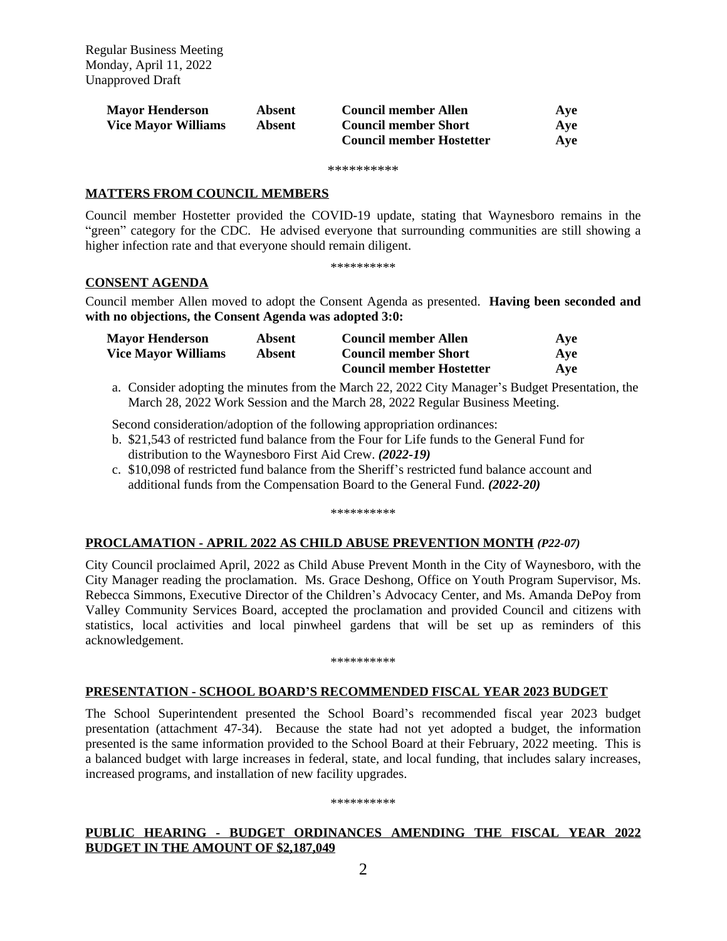| <b>Mayor Henderson</b>     | Absent | <b>Council member Allen</b>     | Ave |
|----------------------------|--------|---------------------------------|-----|
| <b>Vice Mayor Williams</b> | Absent | <b>Council member Short</b>     | Ave |
|                            |        | <b>Council member Hostetter</b> | Ave |

\*\*\*\*\*\*\*\*\*\*

# **MATTERS FROM COUNCIL MEMBERS**

Council member Hostetter provided the COVID-19 update, stating that Waynesboro remains in the "green" category for the CDC. He advised everyone that surrounding communities are still showing a higher infection rate and that everyone should remain diligent.

\*\*\*\*\*\*\*\*\*\*

# **CONSENT AGENDA**

Council member Allen moved to adopt the Consent Agenda as presented. **Having been seconded and with no objections, the Consent Agenda was adopted 3:0:**

| <b>Mayor Henderson</b>     | Absent | <b>Council member Allen</b>     | Ave |
|----------------------------|--------|---------------------------------|-----|
| <b>Vice Mayor Williams</b> | Absent | <b>Council member Short</b>     | Ave |
|                            |        | <b>Council member Hostetter</b> | Aye |

a. Consider adopting the minutes from the March 22, 2022 City Manager's Budget Presentation, the March 28, 2022 Work Session and the March 28, 2022 Regular Business Meeting.

Second consideration/adoption of the following appropriation ordinances:

- b. \$21,543 of restricted fund balance from the Four for Life funds to the General Fund for distribution to the Waynesboro First Aid Crew. *(2022-19)*
- c. \$10,098 of restricted fund balance from the Sheriff's restricted fund balance account and additional funds from the Compensation Board to the General Fund. *(2022-20)*

\*\*\*\*\*\*\*\*\*\*

# **PROCLAMATION - APRIL 2022 AS CHILD ABUSE PREVENTION MONTH** *(P22-07)*

City Council proclaimed April, 2022 as Child Abuse Prevent Month in the City of Waynesboro, with the City Manager reading the proclamation. Ms. Grace Deshong, Office on Youth Program Supervisor, Ms. Rebecca Simmons, Executive Director of the Children's Advocacy Center, and Ms. Amanda DePoy from Valley Community Services Board, accepted the proclamation and provided Council and citizens with statistics, local activities and local pinwheel gardens that will be set up as reminders of this acknowledgement.

#### \*\*\*\*\*\*\*\*\*\*

# **PRESENTATION - SCHOOL BOARD'S RECOMMENDED FISCAL YEAR 2023 BUDGET**

The School Superintendent presented the School Board's recommended fiscal year 2023 budget presentation (attachment 47-34). Because the state had not yet adopted a budget, the information presented is the same information provided to the School Board at their February, 2022 meeting. This is a balanced budget with large increases in federal, state, and local funding, that includes salary increases, increased programs, and installation of new facility upgrades.

#### \*\*\*\*\*\*\*\*\*\*

# **PUBLIC HEARING - BUDGET ORDINANCES AMENDING THE FISCAL YEAR 2022 BUDGET IN THE AMOUNT OF \$2,187,049**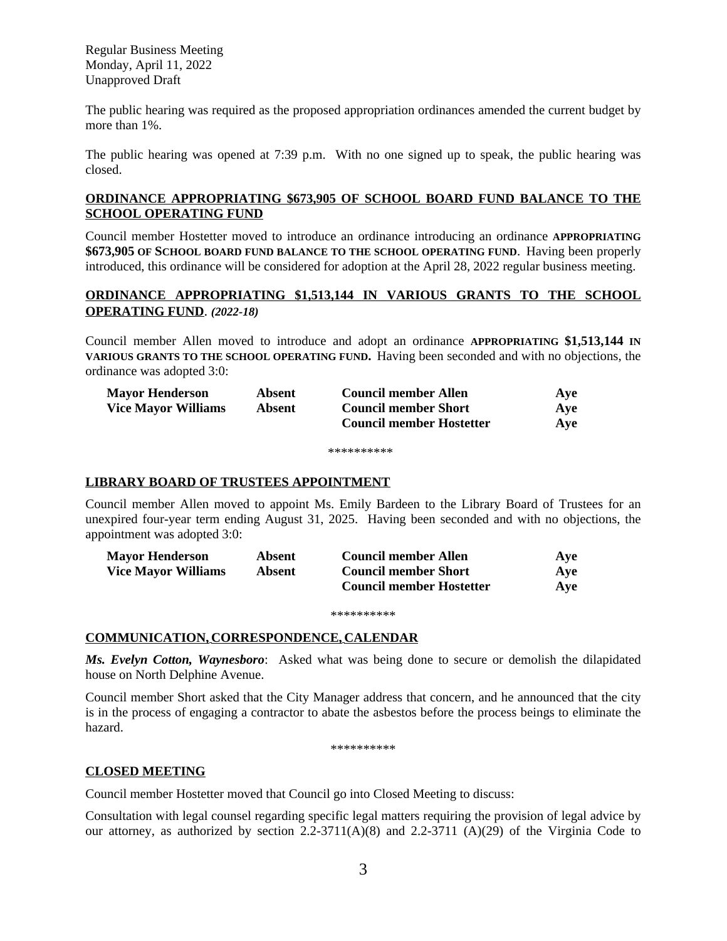Regular Business Meeting Monday, April 11, 2022 Unapproved Draft

The public hearing was required as the proposed appropriation ordinances amended the current budget by more than 1%.

The public hearing was opened at 7:39 p.m. With no one signed up to speak, the public hearing was closed.

# **ORDINANCE APPROPRIATING \$673,905 OF SCHOOL BOARD FUND BALANCE TO THE SCHOOL OPERATING FUND**

Council member Hostetter moved to introduce an ordinance introducing an ordinance **APPROPRIATING \$673,905 OF SCHOOL BOARD FUND BALANCE TO THE SCHOOL OPERATING FUND**. Having been properly introduced, this ordinance will be considered for adoption at the April 28, 2022 regular business meeting.

# **ORDINANCE APPROPRIATING \$1,513,144 IN VARIOUS GRANTS TO THE SCHOOL OPERATING FUND**. *(2022-18)*

Council member Allen moved to introduce and adopt an ordinance **APPROPRIATING \$1,513,144 IN VARIOUS GRANTS TO THE SCHOOL OPERATING FUND.** Having been seconded and with no objections, the ordinance was adopted 3:0:

| <b>Mayor Henderson</b>     | Absent | <b>Council member Allen</b>     | Ave |
|----------------------------|--------|---------------------------------|-----|
| <b>Vice Mayor Williams</b> | Absent | <b>Council member Short</b>     | Ave |
|                            |        | <b>Council member Hostetter</b> | Ave |

\*\*\*\*\*\*\*\*\*

### **LIBRARY BOARD OF TRUSTEES APPOINTMENT**

Council member Allen moved to appoint Ms. Emily Bardeen to the Library Board of Trustees for an unexpired four-year term ending August 31, 2025. Having been seconded and with no objections, the appointment was adopted 3:0:

| <b>Mayor Henderson</b>     | Absent | <b>Council member Allen</b>     | Ave |
|----------------------------|--------|---------------------------------|-----|
| <b>Vice Mayor Williams</b> | Absent | <b>Council member Short</b>     | Ave |
|                            |        | <b>Council member Hostetter</b> | Ave |

#### \*\*\*\*\*\*\*\*\*\*

### **COMMUNICATION, CORRESPONDENCE, CALENDAR**

*Ms. Evelyn Cotton, Waynesboro*: Asked what was being done to secure or demolish the dilapidated house on North Delphine Avenue.

Council member Short asked that the City Manager address that concern, and he announced that the city is in the process of engaging a contractor to abate the asbestos before the process beings to eliminate the hazard.

\*\*\*\*\*\*\*\*\*\*

# **CLOSED MEETING**

Council member Hostetter moved that Council go into Closed Meeting to discuss:

Consultation with legal counsel regarding specific legal matters requiring the provision of legal advice by our attorney, as authorized by section  $2.2-3711(A)(8)$  and  $2.2-3711(A)(29)$  of the Virginia Code to